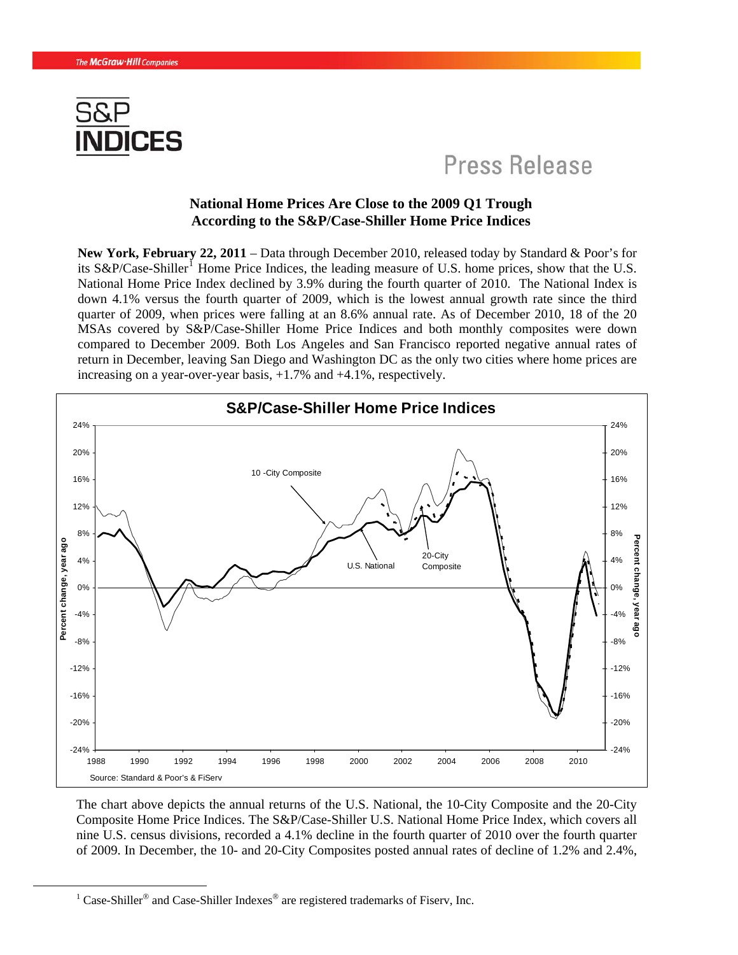

## Press Release

## **National Home Prices Are Close to the 2009 Q1 Trough According to the S&P/Case-Shiller Home Price Indices**

**New York, February 22, 2011** – Data through December 2010, released today by Standard & Poor's for its S&P/Case-Shiller<sup>[1](#page-0-0)</sup> Home Price Indices, the leading measure of U.S. home prices, show that the U.S. National Home Price Index declined by 3.9% during the fourth quarter of 2010. The National Index is down 4.1% versus the fourth quarter of 2009, which is the lowest annual growth rate since the third quarter of 2009, when prices were falling at an 8.6% annual rate. As of December 2010, 18 of the 20 MSAs covered by S&P/Case-Shiller Home Price Indices and both monthly composites were down compared to December 2009. Both Los Angeles and San Francisco reported negative annual rates of return in December, leaving San Diego and Washington DC as the only two cities where home prices are increasing on a year-over-year basis, +1.7% and +4.1%, respectively.



The chart above depicts the annual returns of the U.S. National, the 10-City Composite and the 20-City Composite Home Price Indices. The S&P/Case-Shiller U.S. National Home Price Index, which covers all nine U.S. census divisions, recorded a 4.1% decline in the fourth quarter of 2010 over the fourth quarter of 2009. In December, the 10- and 20-City Composites posted annual rates of decline of 1.2% and 2.4%,

<span id="page-0-0"></span><sup>&</sup>lt;u>1</u> <sup>1</sup> Case-Shiller<sup>®</sup> and Case-Shiller Indexes<sup>®</sup> are registered trademarks of Fiserv, Inc.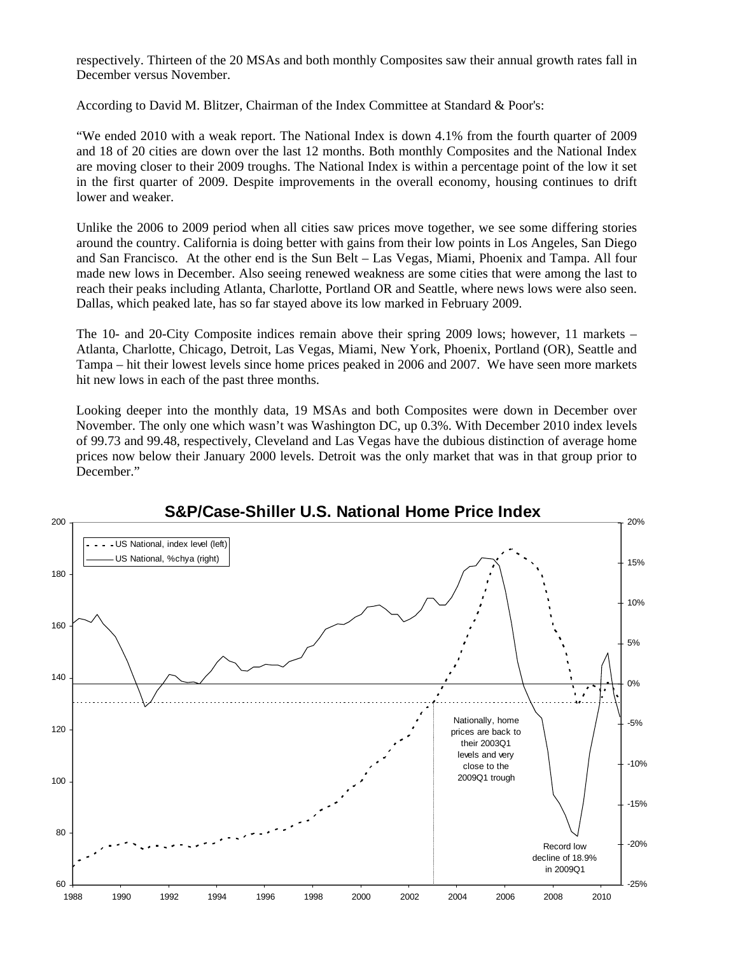respectively. Thirteen of the 20 MSAs and both monthly Composites saw their annual growth rates fall in December versus November.

According to David M. Blitzer, Chairman of the Index Committee at Standard & Poor's:

"We ended 2010 with a weak report. The National Index is down 4.1% from the fourth quarter of 2009 and 18 of 20 cities are down over the last 12 months. Both monthly Composites and the National Index are moving closer to their 2009 troughs. The National Index is within a percentage point of the low it set in the first quarter of 2009. Despite improvements in the overall economy, housing continues to drift lower and weaker.

Unlike the 2006 to 2009 period when all cities saw prices move together, we see some differing stories around the country. California is doing better with gains from their low points in Los Angeles, San Diego and San Francisco. At the other end is the Sun Belt – Las Vegas, Miami, Phoenix and Tampa. All four made new lows in December. Also seeing renewed weakness are some cities that were among the last to reach their peaks including Atlanta, Charlotte, Portland OR and Seattle, where news lows were also seen. Dallas, which peaked late, has so far stayed above its low marked in February 2009.

The 10- and 20-City Composite indices remain above their spring 2009 lows; however, 11 markets – Atlanta, Charlotte, Chicago, Detroit, Las Vegas, Miami, New York, Phoenix, Portland (OR), Seattle and Tampa – hit their lowest levels since home prices peaked in 2006 and 2007. We have seen more markets hit new lows in each of the past three months.

Looking deeper into the monthly data, 19 MSAs and both Composites were down in December over November. The only one which wasn't was Washington DC, up 0.3%. With December 2010 index levels of 99.73 and 99.48, respectively, Cleveland and Las Vegas have the dubious distinction of average home prices now below their January 2000 levels. Detroit was the only market that was in that group prior to December."



## **S&P/Case-Shiller U.S. National Home Price Index**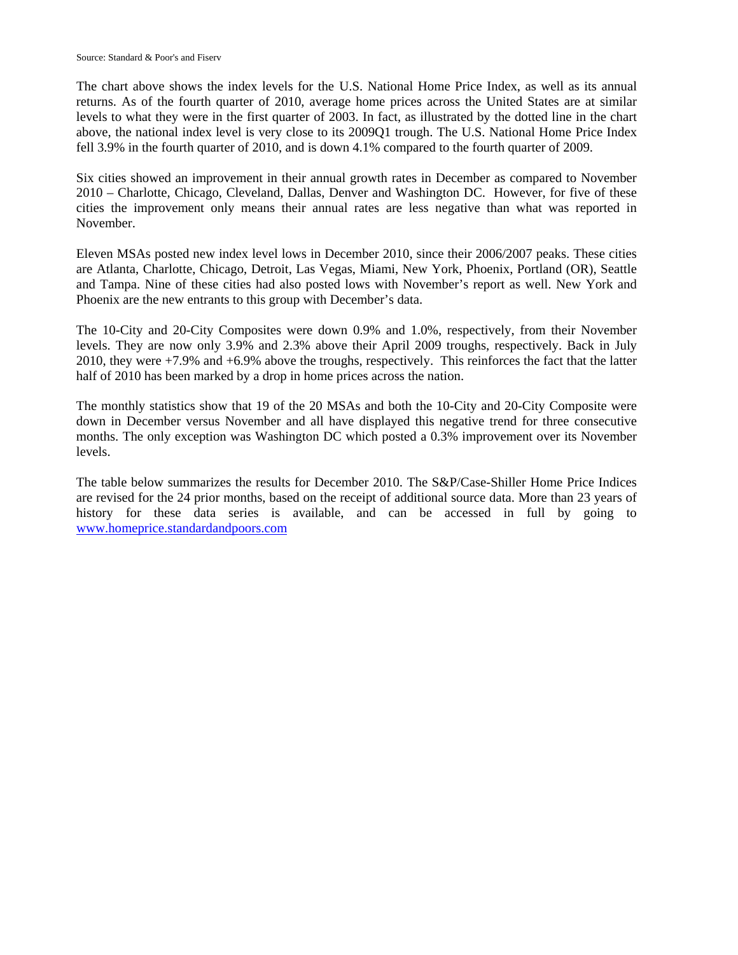The chart above shows the index levels for the U.S. National Home Price Index, as well as its annual returns. As of the fourth quarter of 2010, average home prices across the United States are at similar levels to what they were in the first quarter of 2003. In fact, as illustrated by the dotted line in the chart above, the national index level is very close to its 2009Q1 trough. The U.S. National Home Price Index fell 3.9% in the fourth quarter of 2010, and is down 4.1% compared to the fourth quarter of 2009.

Six cities showed an improvement in their annual growth rates in December as compared to November 2010 – Charlotte, Chicago, Cleveland, Dallas, Denver and Washington DC. However, for five of these cities the improvement only means their annual rates are less negative than what was reported in November.

Eleven MSAs posted new index level lows in December 2010, since their 2006/2007 peaks. These cities are Atlanta, Charlotte, Chicago, Detroit, Las Vegas, Miami, New York, Phoenix, Portland (OR), Seattle and Tampa. Nine of these cities had also posted lows with November's report as well. New York and Phoenix are the new entrants to this group with December's data.

The 10-City and 20-City Composites were down 0.9% and 1.0%, respectively, from their November levels. They are now only 3.9% and 2.3% above their April 2009 troughs, respectively. Back in July 2010, they were +7.9% and +6.9% above the troughs, respectively. This reinforces the fact that the latter half of 2010 has been marked by a drop in home prices across the nation.

The monthly statistics show that 19 of the 20 MSAs and both the 10-City and 20-City Composite were down in December versus November and all have displayed this negative trend for three consecutive months. The only exception was Washington DC which posted a 0.3% improvement over its November levels.

The table below summarizes the results for December 2010. The S&P/Case-Shiller Home Price Indices are revised for the 24 prior months, based on the receipt of additional source data. More than 23 years of history for these data series is available, and can be accessed in full by going to [www.homeprice.standardandpoors.com](http://www.homeprice.standardandpoors.com/)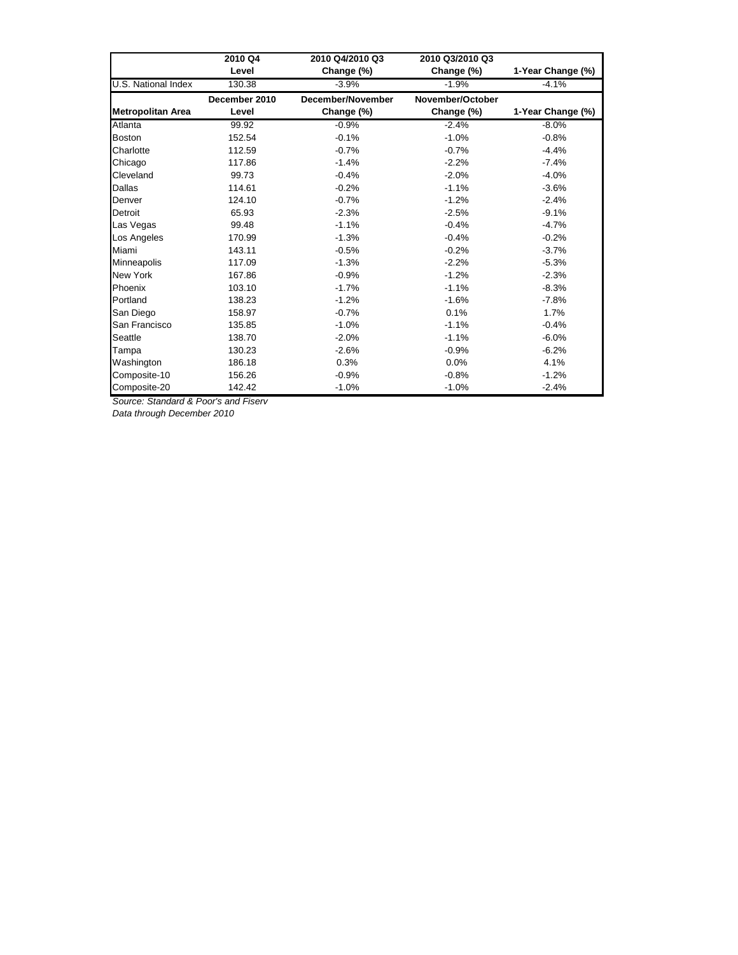|                            | 2010 Q4       | 2010 Q4/2010 Q3   | 2010 Q3/2010 Q3  |                   |
|----------------------------|---------------|-------------------|------------------|-------------------|
|                            | Level         | Change (%)        | Change (%)       | 1-Year Change (%) |
| <b>U.S. National Index</b> | 130.38        | $-3.9%$           | $-1.9%$          | $-4.1%$           |
|                            | December 2010 | December/November | November/October |                   |
| <b>Metropolitan Area</b>   | Level         | Change (%)        | Change (%)       | 1-Year Change (%) |
| Atlanta                    | 99.92         | $-0.9%$           | $-2.4%$          | $-8.0%$           |
| <b>Boston</b>              | 152.54        | $-0.1%$           | $-1.0%$          | $-0.8%$           |
| Charlotte                  | 112.59        | $-0.7%$           | $-0.7%$          | $-4.4%$           |
| Chicago                    | 117.86        | $-1.4%$           | $-2.2%$          | $-7.4%$           |
| Cleveland                  | 99.73         | $-0.4%$           | $-2.0%$          | $-4.0%$           |
| Dallas                     | 114.61        | $-0.2%$           | $-1.1%$          | $-3.6%$           |
| Denver                     | 124.10        | $-0.7%$           | $-1.2%$          | $-2.4%$           |
| Detroit                    | 65.93         | $-2.3%$           | $-2.5%$          | $-9.1%$           |
| Las Vegas                  | 99.48         | $-1.1%$           | $-0.4%$          | $-4.7%$           |
| Los Angeles                | 170.99        | $-1.3%$           | $-0.4%$          | $-0.2%$           |
| Miami                      | 143.11        | $-0.5%$           | $-0.2%$          | $-3.7%$           |
| Minneapolis                | 117.09        | $-1.3%$           | $-2.2%$          | $-5.3%$           |
| <b>New York</b>            | 167.86        | $-0.9%$           | $-1.2%$          | $-2.3%$           |
| Phoenix                    | 103.10        | $-1.7%$           | $-1.1%$          | $-8.3%$           |
| Portland                   | 138.23        | $-1.2%$           | $-1.6%$          | $-7.8%$           |
| San Diego                  | 158.97        | $-0.7%$           | 0.1%             | 1.7%              |
| San Francisco              | 135.85        | $-1.0%$           | $-1.1%$          | $-0.4%$           |
| Seattle                    | 138.70        | $-2.0%$           | $-1.1%$          | $-6.0%$           |
| Tampa                      | 130.23        | $-2.6%$           | $-0.9%$          | $-6.2%$           |
| Washington                 | 186.18        | 0.3%              | 0.0%             | 4.1%              |
| Composite-10               | 156.26        | $-0.9%$           | $-0.8%$          | $-1.2%$           |
| Composite-20               | 142.42        | $-1.0%$           | $-1.0%$          | $-2.4%$           |

*Source: Standard & Poor's and Fiserv*

*Data through December 2010*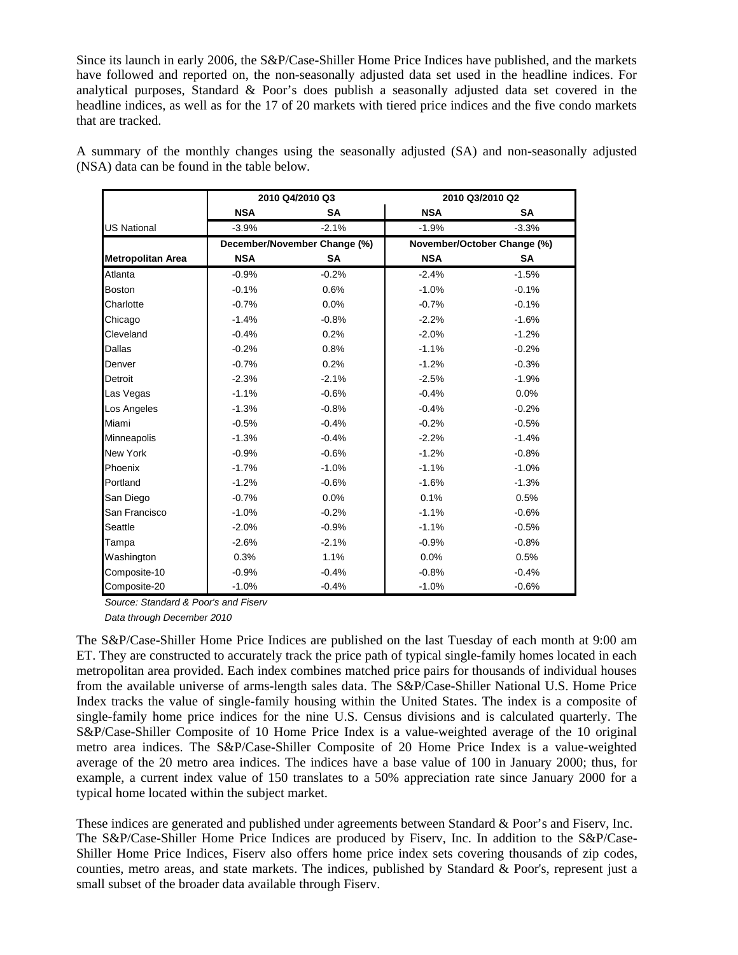Since its launch in early 2006, the S&P/Case-Shiller Home Price Indices have published, and the markets have followed and reported on, the non-seasonally adjusted data set used in the headline indices. For analytical purposes, Standard & Poor's does publish a seasonally adjusted data set covered in the headline indices, as well as for the 17 of 20 markets with tiered price indices and the five condo markets that are tracked.

A summary of the monthly changes using the seasonally adjusted (SA) and non-seasonally adjusted (NSA) data can be found in the table below.

|                          | 2010 Q4/2010 Q3              |           | 2010 Q3/2010 Q2             |           |
|--------------------------|------------------------------|-----------|-----------------------------|-----------|
|                          | <b>NSA</b>                   | <b>SA</b> | <b>NSA</b>                  | <b>SA</b> |
| <b>US National</b>       | $-3.9%$                      | $-2.1%$   | $-1.9%$                     | $-3.3%$   |
|                          | December/November Change (%) |           | November/October Change (%) |           |
| <b>Metropolitan Area</b> | <b>NSA</b>                   | SA        | <b>NSA</b>                  | SA        |
| Atlanta                  | $-0.9%$                      | $-0.2%$   | $-2.4%$                     | $-1.5%$   |
| <b>Boston</b>            | $-0.1%$                      | 0.6%      | $-1.0%$                     | $-0.1%$   |
| Charlotte                | $-0.7%$                      | 0.0%      | $-0.7%$                     | $-0.1%$   |
| Chicago                  | $-1.4%$                      | $-0.8%$   | $-2.2%$                     | $-1.6%$   |
| Cleveland                | $-0.4%$                      | 0.2%      | $-2.0%$                     | $-1.2%$   |
| <b>Dallas</b>            | $-0.2%$                      | 0.8%      | $-1.1%$                     | $-0.2%$   |
| Denver                   | $-0.7%$                      | 0.2%      | $-1.2%$                     | $-0.3%$   |
| Detroit                  | $-2.3%$                      | $-2.1%$   | $-2.5%$                     | $-1.9%$   |
| Las Vegas                | $-1.1%$                      | $-0.6%$   | $-0.4%$                     | 0.0%      |
| Los Angeles              | $-1.3%$                      | $-0.8%$   | $-0.4%$                     | $-0.2%$   |
| Miami                    | $-0.5%$                      | $-0.4%$   | $-0.2%$                     | $-0.5%$   |
| Minneapolis              | $-1.3%$                      | $-0.4%$   | $-2.2%$                     | $-1.4%$   |
| <b>New York</b>          | $-0.9%$                      | $-0.6%$   | $-1.2%$                     | $-0.8%$   |
| Phoenix                  | $-1.7%$                      | $-1.0%$   | $-1.1%$                     | $-1.0%$   |
| Portland                 | $-1.2%$                      | $-0.6%$   | $-1.6%$                     | $-1.3%$   |
| San Diego                | $-0.7%$                      | 0.0%      | 0.1%                        | 0.5%      |
| San Francisco            | $-1.0%$                      | $-0.2%$   | $-1.1%$                     | $-0.6%$   |
| Seattle                  | $-2.0%$                      | $-0.9%$   | $-1.1%$                     | $-0.5%$   |
| Tampa                    | $-2.6%$                      | $-2.1%$   | $-0.9%$                     | $-0.8%$   |
| Washington               | 0.3%                         | 1.1%      | 0.0%                        | 0.5%      |
| Composite-10             | $-0.9%$                      | $-0.4%$   | $-0.8%$                     | $-0.4%$   |
| Composite-20             | $-1.0%$                      | $-0.4%$   | $-1.0%$                     | $-0.6%$   |

*Source: Standard & Poor's and Fiserv*

*Data through December 2010*

The S&P/Case-Shiller Home Price Indices are published on the last Tuesday of each month at 9:00 am ET. They are constructed to accurately track the price path of typical single-family homes located in each metropolitan area provided. Each index combines matched price pairs for thousands of individual houses from the available universe of arms-length sales data. The S&P/Case-Shiller National U.S. Home Price Index tracks the value of single-family housing within the United States. The index is a composite of single-family home price indices for the nine U.S. Census divisions and is calculated quarterly. The S&P/Case-Shiller Composite of 10 Home Price Index is a value-weighted average of the 10 original metro area indices. The S&P/Case-Shiller Composite of 20 Home Price Index is a value-weighted average of the 20 metro area indices. The indices have a base value of 100 in January 2000; thus, for example, a current index value of 150 translates to a 50% appreciation rate since January 2000 for a typical home located within the subject market.

These indices are generated and published under agreements between Standard & Poor's and Fiserv, Inc. The S&P/Case-Shiller Home Price Indices are produced by Fiserv, Inc. In addition to the S&P/Case-Shiller Home Price Indices, Fiserv also offers home price index sets covering thousands of zip codes, counties, metro areas, and state markets. The indices, published by Standard & Poor's, represent just a small subset of the broader data available through Fiserv.